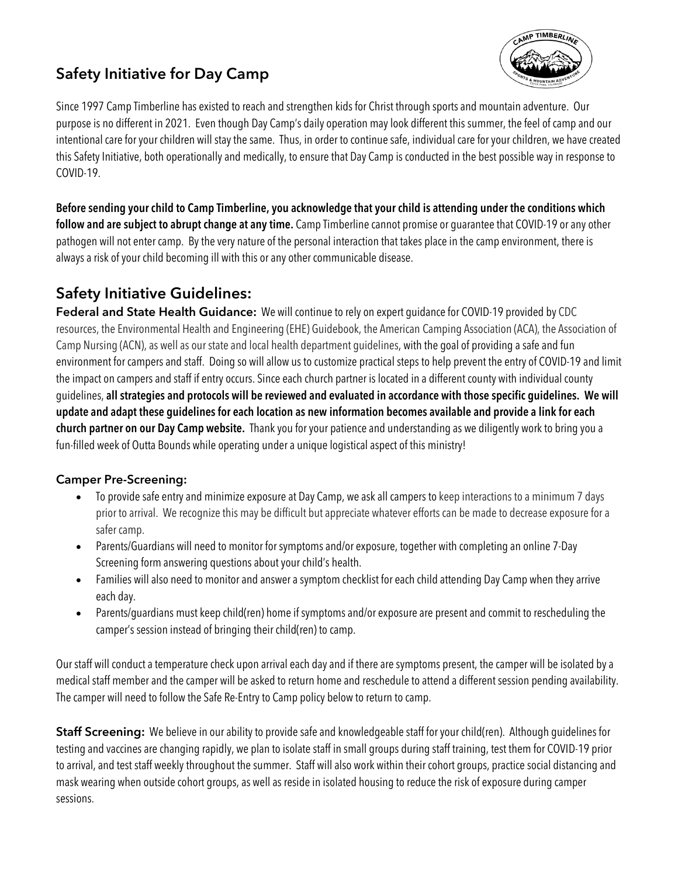## **Safety Initiative for Day Camp**



Since 1997 Camp Timberline has existed to reach and strengthen kids for Christ through sports and mountain adventure. Our purpose is no different in 2021. Even though Day Camp's daily operation may look different this summer, the feel of camp and our intentional care for your children will stay the same. Thus, in order to continue safe, individual care for your children, we have created this Safety Initiative, both operationally and medically, to ensure that Day Camp is conducted in the best possible way in response to COVID-19.

**Before sending your child to Camp Timberline, you acknowledge that your child is attending under the conditions which follow and are subject to abrupt change at any time.** Camp Timberline cannot promise or guarantee that COVID-19 or any other pathogen will not enter camp. By the very nature of the personal interaction that takes place in the camp environment, there is always a risk of your child becoming ill with this or any other communicable disease.

### **Safety Initiative Guidelines:**

**Federal and State Health Guidance:** We will continue to rely on expert guidance for COVID-19 provided by CDC resources, the Environmental Health and Engineering (EHE) Guidebook, the American Camping Association (ACA), the Association of Camp Nursing (ACN), as well as our state and local health department guidelines, with the goal of providing a safe and fun environment for campers and staff. Doing so will allow us to customize practical steps to help prevent the entry of COVID-19 and limit the impact on campers and staff if entry occurs. Since each church partner is located in a different county with individual county guidelines, **all strategies and protocols will be reviewed and evaluated in accordance with those specific guidelines. We will update and adapt these guidelines for each location as new information becomes available and provide a link for each church partner on our Day Camp website.** Thank you for your patience and understanding as we diligently work to bring you a fun-filled week of Outta Bounds while operating under a unique logistical aspect of this ministry!

#### **Camper Pre-Screening:**

- To provide safe entry and minimize exposure at Day Camp, we ask all campers to keep interactions to a minimum 7 days prior to arrival. We recognize this may be difficult but appreciate whatever efforts can be made to decrease exposure for a safer camp.
- Parents/Guardians will need to monitor for symptoms and/or exposure, together with completing an online 7-Day Screening form answering questions about your child's health.
- Families will also need to monitor and answer a symptom checklist for each child attending Day Camp when they arrive each day.
- Parents/guardians must keep child(ren) home if symptoms and/or exposure are present and commit to rescheduling the camper's session instead of bringing their child(ren) to camp.

Our staff will conduct a temperature check upon arrival each day and if there are symptoms present, the camper will be isolated by a medical staff member and the camper will be asked to return home and reschedule to attend a different session pending availability. The camper will need to follow the Safe Re-Entry to Camp policy below to return to camp.

**Staff Screening:** We believe in our ability to provide safe and knowledgeable staff for your child(ren). Although guidelines for testing and vaccines are changing rapidly, we plan to isolate staff in small groups during staff training, test them for COVID-19 prior to arrival, and test staff weekly throughout the summer. Staff will also work within their cohort groups, practice social distancing and mask wearing when outside cohort groups, as well as reside in isolated housing to reduce the risk of exposure during camper sessions.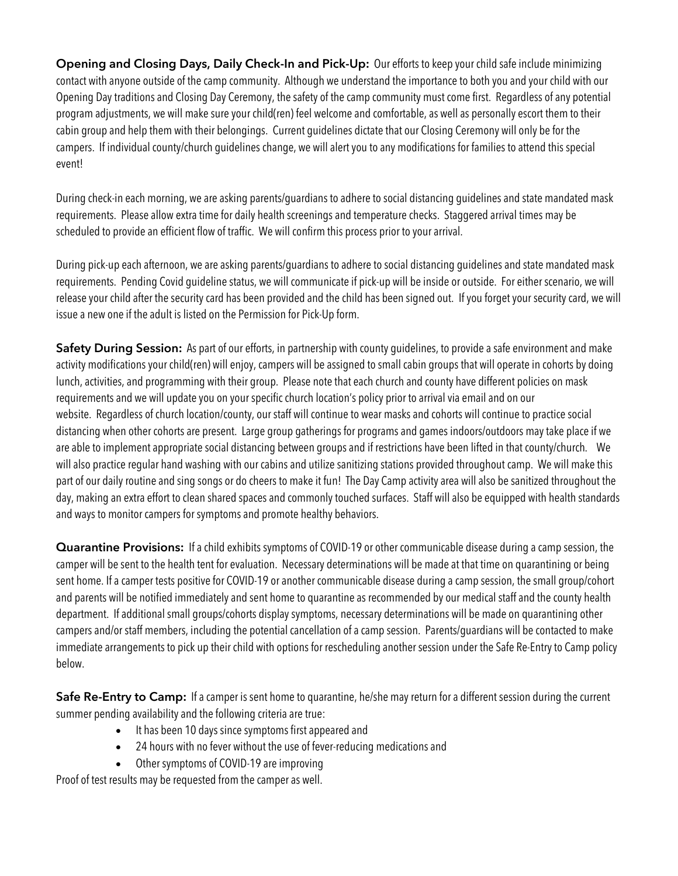**Opening and Closing Days, Daily Check-In and Pick-Up:** Our efforts to keep your child safe include minimizing contact with anyone outside of the camp community. Although we understand the importance to both you and your child with our Opening Day traditions and Closing Day Ceremony, the safety of the camp community must come first. Regardless of any potential program adjustments, we will make sure your child(ren) feel welcome and comfortable, as well as personally escort them to their cabin group and help them with their belongings. Current guidelines dictate that our Closing Ceremony will only be for the campers. If individual county/church guidelines change, we will alert you to any modifications for families to attend this special event!

During check-in each morning, we are asking parents/guardians to adhere to social distancing guidelines and state mandated mask requirements. Please allow extra time for daily health screenings and temperature checks. Staggered arrival times may be scheduled to provide an efficient flow of traffic. We will confirm this process prior to your arrival.

During pick-up each afternoon, we are asking parents/guardians to adhere to social distancing guidelines and state mandated mask requirements. Pending Covid guideline status, we will communicate if pick-up will be inside or outside. For either scenario, we will release your child after the security card has been provided and the child has been signed out. If you forget your security card, we will issue a new one if the adult is listed on the Permission for Pick-Up form.

**Safety During Session:** As part of our efforts, in partnership with county guidelines, to provide a safe environment and make activity modifications your child(ren) will enjoy, campers will be assigned to small cabin groups that will operate in cohorts by doing lunch, activities, and programming with their group. Please note that each church and county have different policies on mask requirements and we will update you on your specific church location's policy prior to arrival via email and on our website. Regardless of church location/county, our staff will continue to wear masks and cohorts will continue to practice social distancing when other cohorts are present. Large group gatherings for programs and games indoors/outdoors may take place if we are able to implement appropriate social distancing between groups and if restrictions have been lifted in that county/church. We will also practice regular hand washing with our cabins and utilize sanitizing stations provided throughout camp. We will make this part of our daily routine and sing songs or do cheers to make it fun! The Day Camp activity area will also be sanitized throughout the day, making an extra effort to clean shared spaces and commonly touched surfaces. Staff will also be equipped with health standards and ways to monitor campers for symptoms and promote healthy behaviors.

**Quarantine Provisions:** If a child exhibits symptoms of COVID-19 or other communicable disease during a camp session, the camper will be sent to the health tent for evaluation. Necessary determinations will be made at that time on quarantining or being sent home. If a camper tests positive for COVID-19 or another communicable disease during a camp session, the small group/cohort and parents will be notified immediately and sent home to quarantine as recommended by our medical staff and the county health department. If additional small groups/cohorts display symptoms, necessary determinations will be made on quarantining other campers and/or staff members, including the potential cancellation of a camp session. Parents/guardians will be contacted to make immediate arrangements to pick up their child with options for rescheduling another session under the Safe Re-Entry to Camp policy below.

**Safe Re-Entry to Camp:** If a camper is sent home to quarantine, he/she may return for a different session during the current summer pending availability and the following criteria are true:

- It has been 10 days since symptoms first appeared and
- 24 hours with no fever without the use of fever-reducing medications and
- Other symptoms of COVID-19 are improving

Proof of test results may be requested from the camper as well.